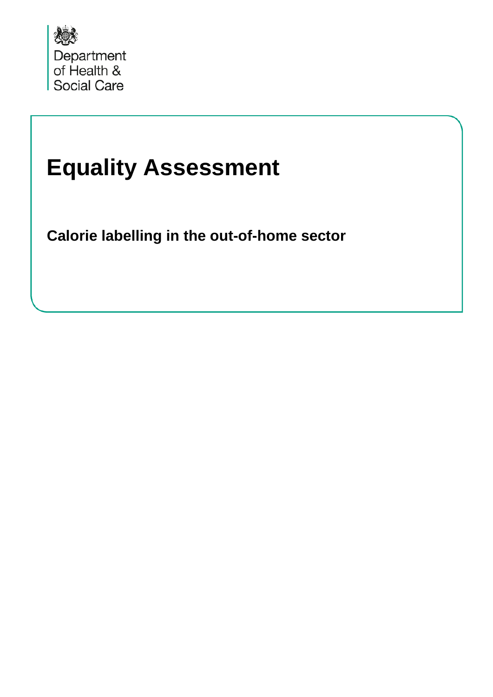

# **Equality Assessment**

**Calorie labelling in the out-of-home sector**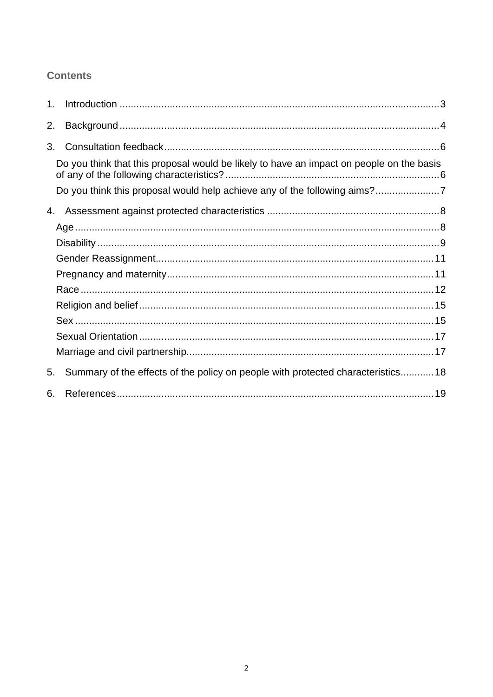### **Contents**

| 1. |                                                                                          |  |
|----|------------------------------------------------------------------------------------------|--|
| 2. |                                                                                          |  |
| 3. |                                                                                          |  |
|    | Do you think that this proposal would be likely to have an impact on people on the basis |  |
|    | Do you think this proposal would help achieve any of the following aims?7                |  |
|    |                                                                                          |  |
|    |                                                                                          |  |
|    |                                                                                          |  |
|    |                                                                                          |  |
|    |                                                                                          |  |
|    |                                                                                          |  |
|    |                                                                                          |  |
|    |                                                                                          |  |
|    |                                                                                          |  |
|    |                                                                                          |  |
| 5. | Summary of the effects of the policy on people with protected characteristics18          |  |
| 6. |                                                                                          |  |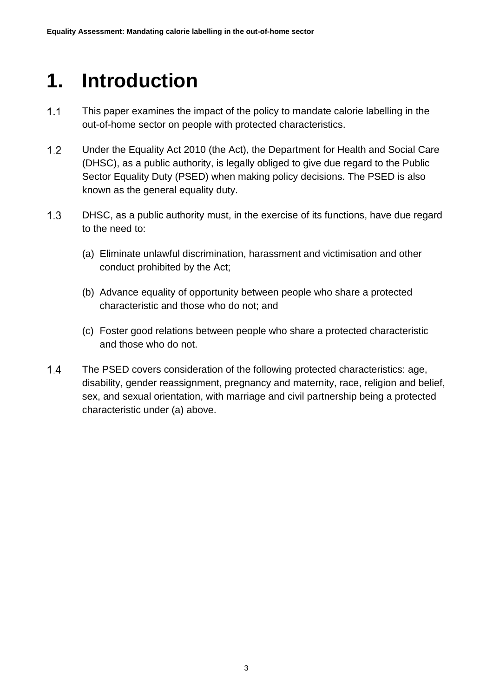## <span id="page-2-0"></span>**1. Introduction**

- $1.1$ This paper examines the impact of the policy to mandate calorie labelling in the out-of-home sector on people with protected characteristics.
- $1.2$ Under the Equality Act 2010 (the Act), the Department for Health and Social Care (DHSC), as a public authority, is legally obliged to give due regard to the Public Sector Equality Duty (PSED) when making policy decisions. The PSED is also known as the general equality duty.
- $1.3$ DHSC, as a public authority must, in the exercise of its functions, have due regard to the need to:
	- (a) Eliminate unlawful discrimination, harassment and victimisation and other conduct prohibited by the Act;
	- (b) Advance equality of opportunity between people who share a protected characteristic and those who do not; and
	- (c) Foster good relations between people who share a protected characteristic and those who do not.
- $1.4$ The PSED covers consideration of the following protected characteristics: age, disability, gender reassignment, pregnancy and maternity, race, religion and belief, sex, and sexual orientation, with marriage and civil partnership being a protected characteristic under (a) above.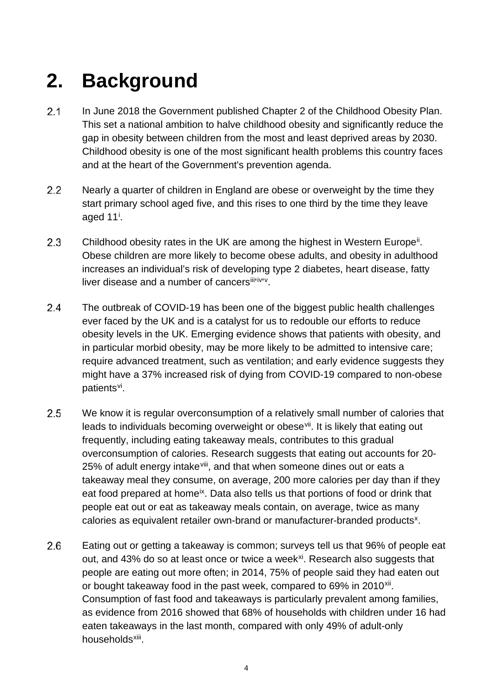# <span id="page-3-0"></span>**2. Background**

- $2.1$ In June 2018 the Government published Chapter 2 of the Childhood Obesity Plan. This set a national ambition to halve childhood obesity and significantly reduce the gap in obesity between children from the most and least deprived areas by 2030. Childhood obesity is one of the most significant health problems this country faces and at the heart of the Government's prevention agenda.
- $2.2$ Nearly a quarter of children in England are obese or overweight by the time they start primary school aged five, and this rises to one third by the time they leave aged 11<sup>[i](#page-18-1)</sup>.
- $2.3$ Childhood obesity rates in the UK are among the highest in Western Europe<sup>[ii](#page-18-2)</sup>. Obese children are more likely to become obese adults, and obesity in adulthood increases an individual's risk of developing type 2 diabetes, heart disease, fatty l[iv](#page-18-4)er disease and a number of cancersiliti[v](#page-18-5)iv.
- $2.4$ The outbreak of COVID-19 has been one of the biggest public health challenges ever faced by the UK and is a catalyst for us to redouble our efforts to reduce obesity levels in the UK. Emerging evidence shows that patients with obesity, and in particular morbid obesity, may be more likely to be admitted to intensive care; require advanced treatment, such as ventilation; and early evidence suggests they might have a 37% increased risk of dying from COVID-19 compared to non-obese patients[vi.](#page-18-6)
- $2.5$ We know it is regular overconsumption of a relatively small number of calories that leads to individuals becoming overweight or obese<sup>vii</sup>. It is likely that eating out frequently, including eating takeaway meals, contributes to this gradual overconsumption of calories. Research suggests that eating out accounts for 20 25% of adult energy intake<sup>[viii](#page-18-8)</sup>, and that when someone dines out or eats a takeaway meal they consume, on average, 200 more calories per day than if they eat food prepared at home<sup>[ix](#page-18-9)</sup>. Data also tells us that portions of food or drink that people eat out or eat as takeaway meals contain, on average, twice as many calories as equivalent retailer own-brand or manufacturer-branded products<sup>x</sup>.
- 2.6 Eating out or getting a takeaway is common; surveys tell us that 96% of people eat out, and 43% do so at least once or twice a week<sup>xi</sup>. Research also suggests that people are eating out more often; in 2014, 75% of people said they had eaten out or bought takeaway food in the past week, compared to 69% in 2010<sup>[xii](#page-18-12)</sup>. Consumption of fast food and takeaways is particularly prevalent among families, as evidence from 2016 showed that 68% of households with children under 16 had eaten takeaways in the last month, compared with only 49% of adult-only households<sup>xiii</sup>.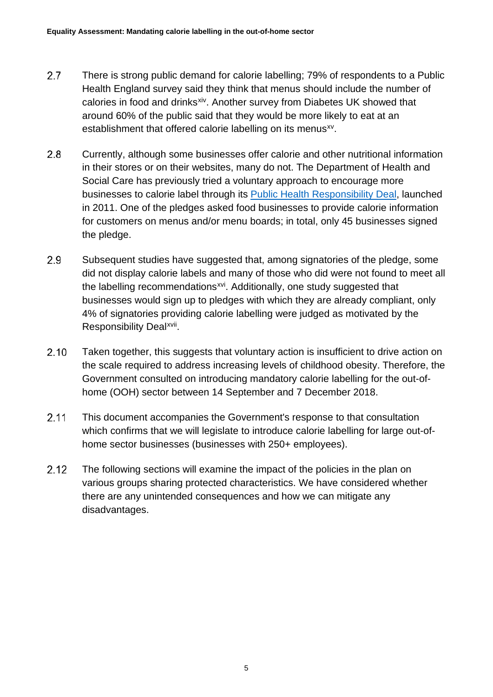- $2.7$ There is strong public demand for calorie labelling; 79% of respondents to a Public Health England survey said they think that menus should include the number of calories in food and drinks[xiv](#page-18-14). Another survey from Diabetes UK showed that around 60% of the public said that they would be more likely to eat at an establishment that offered calorie labelling on its menus<sup>[xv](#page-18-15)</sup>.
- $2.8$ Currently, although some businesses offer calorie and other nutritional information in their stores or on their websites, many do not. The Department of Health and Social Care has previously tried a voluntary approach to encourage more businesses to calorie label through its [Public Health Responsibility Deal,](https://webarchive.nationalarchives.gov.uk/20130104155853/http:/responsibilitydeal.dh.gov.uk/about/) launched in 2011. One of the pledges asked food businesses to provide calorie information for customers on menus and/or menu boards; in total, only 45 businesses signed the pledge.
- 2.9 Subsequent studies have suggested that, among signatories of the pledge, some did not display calorie labels and many of those who did were not found to meet all the labelling recommendations<sup>xvi</sup>. Additionally, one study suggested that businesses would sign up to pledges with which they are already compliant, only 4% of signatories providing calorie labelling were judged as motivated by the Responsibility Deal[xvii.](#page-18-17)
- $2.10$ Taken together, this suggests that voluntary action is insufficient to drive action on the scale required to address increasing levels of childhood obesity. Therefore, the Government consulted on introducing mandatory calorie labelling for the out-ofhome (OOH) sector between 14 September and 7 December 2018.
- $2.11$ This document accompanies the Government's response to that consultation which confirms that we will legislate to introduce calorie labelling for large out-ofhome sector businesses (businesses with 250+ employees).
- $2.12$ The following sections will examine the impact of the policies in the plan on various groups sharing protected characteristics. We have considered whether there are any unintended consequences and how we can mitigate any disadvantages.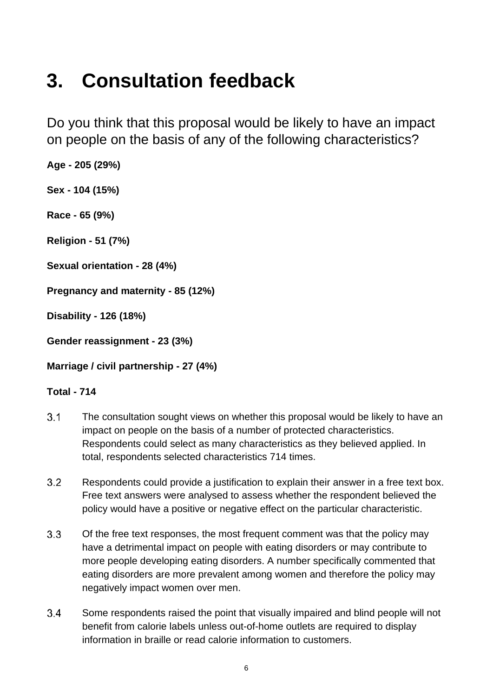## <span id="page-5-0"></span>**3. Consultation feedback**

<span id="page-5-1"></span>Do you think that this proposal would be likely to have an impact on people on the basis of any of the following characteristics?

**Age - 205 (29%) Sex - 104 (15%)**

**Race - 65 (9%)**

**Religion - 51 (7%)**

**Sexual orientation - 28 (4%)**

**Pregnancy and maternity - 85 (12%)**

**Disability - 126 (18%)**

**Gender reassignment - 23 (3%)**

**Marriage / civil partnership - 27 (4%)**

#### **Total - 714**

- $3.1$ The consultation sought views on whether this proposal would be likely to have an impact on people on the basis of a number of protected characteristics. Respondents could select as many characteristics as they believed applied. In total, respondents selected characteristics 714 times.
- $3.2$ Respondents could provide a justification to explain their answer in a free text box. Free text answers were analysed to assess whether the respondent believed the policy would have a positive or negative effect on the particular characteristic.
- $3.3$ Of the free text responses, the most frequent comment was that the policy may have a detrimental impact on people with eating disorders or may contribute to more people developing eating disorders. A number specifically commented that eating disorders are more prevalent among women and therefore the policy may negatively impact women over men.
- 34 Some respondents raised the point that visually impaired and blind people will not benefit from calorie labels unless out-of-home outlets are required to display information in braille or read calorie information to customers.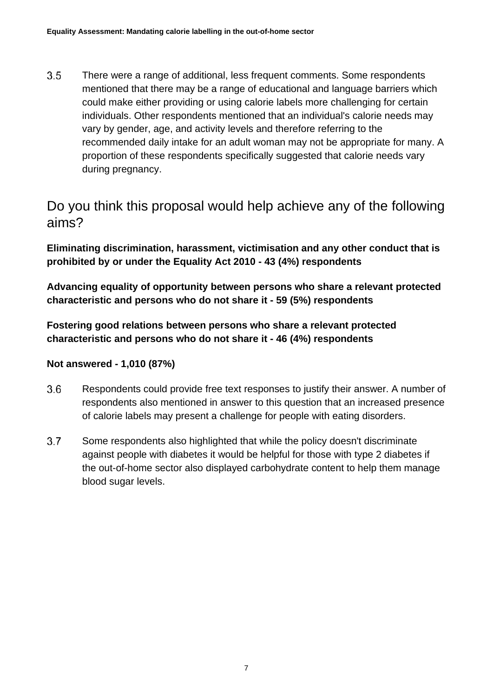$3.5$ There were a range of additional, less frequent comments. Some respondents mentioned that there may be a range of educational and language barriers which could make either providing or using calorie labels more challenging for certain individuals. Other respondents mentioned that an individual's calorie needs may vary by gender, age, and activity levels and therefore referring to the recommended daily intake for an adult woman may not be appropriate for many. A proportion of these respondents specifically suggested that calorie needs vary during pregnancy.

### <span id="page-6-0"></span>Do you think this proposal would help achieve any of the following aims?

**Eliminating discrimination, harassment, victimisation and any other conduct that is prohibited by or under the Equality Act 2010 - 43 (4%) respondents**

**Advancing equality of opportunity between persons who share a relevant protected characteristic and persons who do not share it - 59 (5%) respondents**

**Fostering good relations between persons who share a relevant protected characteristic and persons who do not share it - 46 (4%) respondents**

#### **Not answered - 1,010 (87%)**

- $3.6$ Respondents could provide free text responses to justify their answer. A number of respondents also mentioned in answer to this question that an increased presence of calorie labels may present a challenge for people with eating disorders.
- $3.7$ Some respondents also highlighted that while the policy doesn't discriminate against people with diabetes it would be helpful for those with type 2 diabetes if the out-of-home sector also displayed carbohydrate content to help them manage blood sugar levels.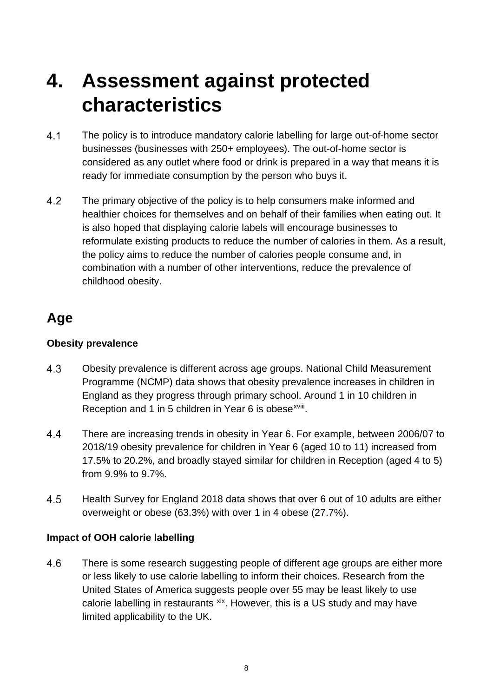## <span id="page-7-0"></span>**4. Assessment against protected characteristics**

- $4.1$ The policy is to introduce mandatory calorie labelling for large out-of-home sector businesses (businesses with 250+ employees). The out-of-home sector is considered as any outlet where food or drink is prepared in a way that means it is ready for immediate consumption by the person who buys it.
- $4.2$ The primary objective of the policy is to help consumers make informed and healthier choices for themselves and on behalf of their families when eating out. It is also hoped that displaying calorie labels will encourage businesses to reformulate existing products to reduce the number of calories in them. As a result, the policy aims to reduce the number of calories people consume and, in combination with a number of other interventions, reduce the prevalence of childhood obesity.

## <span id="page-7-1"></span>**Age**

#### **Obesity prevalence**

- 4.3 Obesity prevalence is different across age groups. National Child Measurement Programme (NCMP) data shows that obesity prevalence increases in children in England as they progress through primary school. Around 1 in 10 children in Reception and 1 in 5 children in Year 6 is obese<sup>xviii</sup>.
- $4.4$ There are increasing trends in obesity in Year 6. For example, between 2006/07 to 2018/19 obesity prevalence for children in Year 6 (aged 10 to 11) increased from 17.5% to 20.2%, and broadly stayed similar for children in Reception (aged 4 to 5) from 9.9% to 9.7%.
- 4.5 Health Survey for England 2018 data shows that over 6 out of 10 adults are either overweight or obese (63.3%) with over 1 in 4 obese (27.7%).

#### **Impact of OOH calorie labelling**

4.6 There is some research suggesting people of different age groups are either more or less likely to use calorie labelling to inform their choices. Research from the United States of America suggests people over 55 may be least likely to use calorie labelling in restaurants [xix.](#page-18-19) However, this is a US study and may have limited applicability to the UK.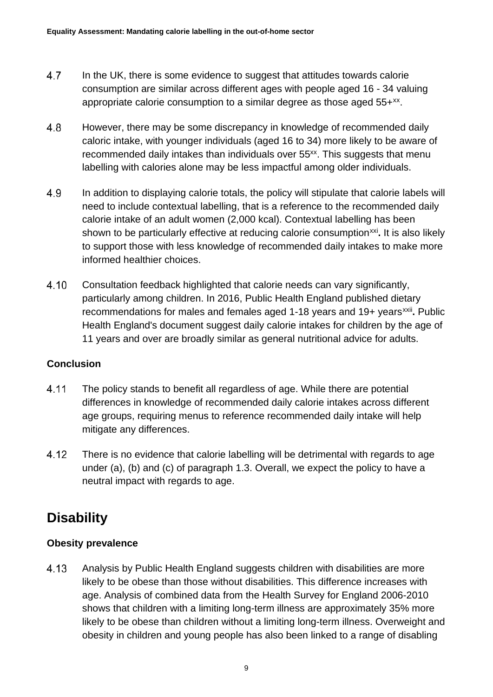- <span id="page-8-1"></span>4.7 In the UK, there is some evidence to suggest that attitudes towards calorie consumption are similar across different ages with people aged 16 - 34 valuing appropriate calorie consumption to a similar degree as those aged  $55+x^2$ .
- 4.8 However, there may be some discrepancy in knowledge of recommended daily caloric intake, with younger individuals (aged 16 to 34) more likely to be aware of recommended daily intakes than individuals over 55<sup>xx</sup>. This suggests that menu labelling with calories alone may be less impactful among older individuals.
- 4.9 In addition to displaying calorie totals, the policy will stipulate that calorie labels will need to include contextual labelling, that is a reference to the recommended daily calorie intake of an adult women (2,000 kcal). Contextual labelling has been shown to be particularly effective at reducing calorie consumption<sup>[xxi](#page-18-21)</sup>. It is also likely to support those with less knowledge of recommended daily intakes to make more informed healthier choices.
- 4.10 Consultation feedback highlighted that calorie needs can vary significantly, particularly among children. In 2016, Public Health England published dietary recommendations for males and females aged 1-18 years and 19+ years<sup>[xxii](#page-18-22)</sup>. Public Health England's document suggest daily calorie intakes for children by the age of 11 years and over are broadly similar as general nutritional advice for adults.

#### **Conclusion**

- 4.11 The policy stands to benefit all regardless of age. While there are potential differences in knowledge of recommended daily calorie intakes across different age groups, requiring menus to reference recommended daily intake will help mitigate any differences.
- 4.12 There is no evidence that calorie labelling will be detrimental with regards to age under (a), (b) and (c) of paragraph 1.3. Overall, we expect the policy to have a neutral impact with regards to age.

## <span id="page-8-0"></span>**Disability**

#### **Obesity prevalence**

4.13 Analysis by Public Health England suggests children with disabilities are more likely to be obese than those without disabilities. This difference increases with age. Analysis of combined data from the Health Survey for England 2006-2010 shows that children with a limiting long-term illness are approximately 35% more likely to be obese than children without a limiting long-term illness. Overweight and obesity in children and young people has also been linked to a range of disabling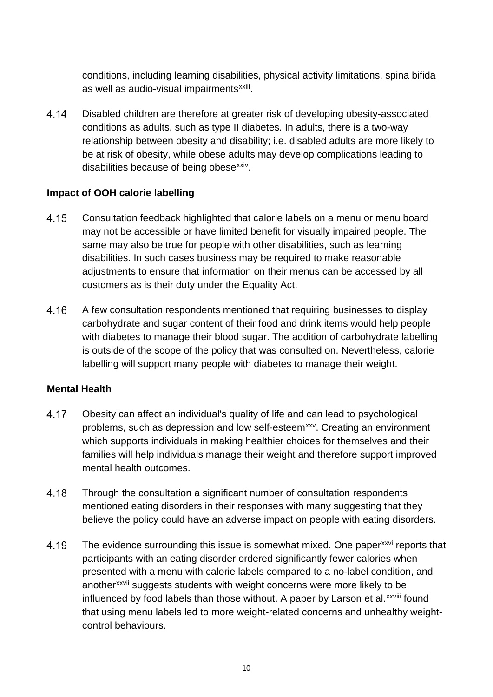conditions, including learning disabilities, physical activity limitations, spina bifida as well as audio-visual impairments<sup>xxiii</sup>.

4.14 Disabled children are therefore at greater risk of developing obesity-associated conditions as adults, such as type II diabetes. In adults, there is a two-way relationship between obesity and disability; i.e. disabled adults are more likely to be at risk of obesity, while obese adults may develop complications leading to disabilities because of being obese<sup>xxiv</sup>.

#### **Impact of OOH calorie labelling**

- 4.15 Consultation feedback highlighted that calorie labels on a menu or menu board may not be accessible or have limited benefit for visually impaired people. The same may also be true for people with other disabilities, such as learning disabilities. In such cases business may be required to make reasonable adjustments to ensure that information on their menus can be accessed by all customers as is their duty under the Equality Act.
- 4.16 A few consultation respondents mentioned that requiring businesses to display carbohydrate and sugar content of their food and drink items would help people with diabetes to manage their blood sugar. The addition of carbohydrate labelling is outside of the scope of the policy that was consulted on. Nevertheless, calorie labelling will support many people with diabetes to manage their weight.

#### **Mental Health**

- 4.17 Obesity can affect an individual's quality of life and can lead to psychological problems, such as depression and low self-esteem<sup>[xxv](#page-18-25)</sup>. Creating an environment which supports individuals in making healthier choices for themselves and their families will help individuals manage their weight and therefore support improved mental health outcomes.
- 4.18 Through the consultation a significant number of consultation respondents mentioned eating disorders in their responses with many suggesting that they believe the policy could have an adverse impact on people with eating disorders.
- 4.19 The evidence surrounding this issue is somewhat mixed. One paper<sup>[xxvi](#page-18-26)</sup> reports that participants with an eating disorder ordered significantly fewer calories when presented with a menu with calorie labels compared to a no-label condition, and another<[s](#page-18-27)up>xxvii</sup> suggests students with weight concerns were more likely to be in[f](#page-18-28)luenced by food labels than those without. A paper by Larson et al.<sup>xxviii</sup> found that using menu labels led to more weight-related concerns and unhealthy weightcontrol behaviours.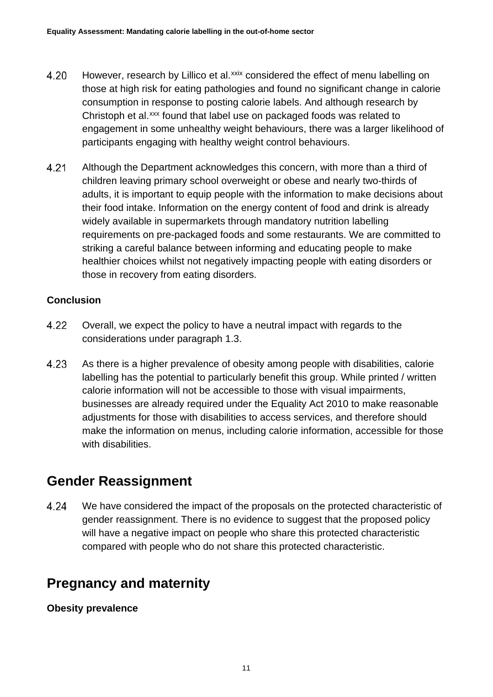- 4.20 However, research by Lillico et al.<sup>[xxix](#page-18-29)</sup> considered the effect of menu labelling on those at high risk for eating pathologies and found no significant change in calorie consumption in response to posting calorie labels. And although research by Christoph et al.<sup>xxx</sup> found that label use on packaged foods was related to engagement in some unhealthy weight behaviours, there was a larger likelihood of participants engaging with healthy weight control behaviours.
- 4.21 Although the Department acknowledges this concern, with more than a third of children leaving primary school overweight or obese and nearly two-thirds of adults, it is important to equip people with the information to make decisions about their food intake. Information on the energy content of food and drink is already widely available in supermarkets through mandatory nutrition labelling requirements on pre-packaged foods and some restaurants. We are committed to striking a careful balance between informing and educating people to make healthier choices whilst not negatively impacting people with eating disorders or those in recovery from eating disorders.

#### **Conclusion**

- 4.22 Overall, we expect the policy to have a neutral impact with regards to the considerations under paragraph 1.3.
- 4.23 As there is a higher prevalence of obesity among people with disabilities, calorie labelling has the potential to particularly benefit this group. While printed / written calorie information will not be accessible to those with visual impairments, businesses are already required under the Equality Act 2010 to make reasonable adjustments for those with disabilities to access services, and therefore should make the information on menus, including calorie information, accessible for those with disabilities.

### <span id="page-10-0"></span>**Gender Reassignment**

4.24 We have considered the impact of the proposals on the protected characteristic of gender reassignment. There is no evidence to suggest that the proposed policy will have a negative impact on people who share this protected characteristic compared with people who do not share this protected characteristic.

### <span id="page-10-1"></span>**Pregnancy and maternity**

**Obesity prevalence**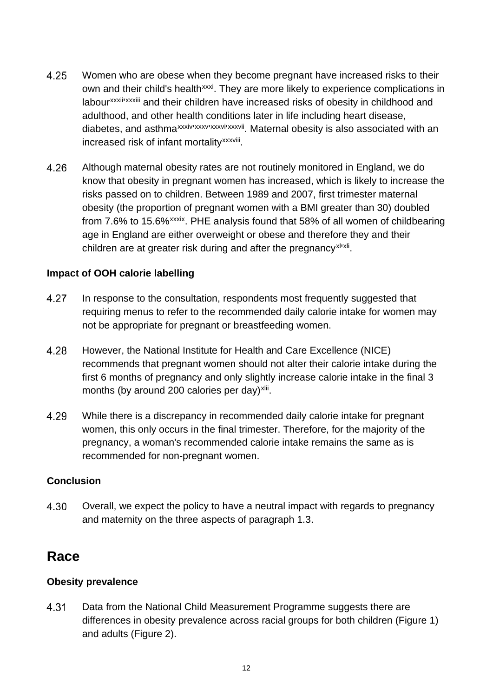- 4.25 Women who are obese when they become pregnant have increased risks to their own and their child's health<sup>[xxxi](#page-19-1)</sup>. They are more likely to experience complications in labour<sup>xxx[i](#page-19-3)i</sup>['](#page-19-2)<sup>xxxiii</sup> and their children have increased risks of obesity in childhood and adulthood, and other health conditions later in life including heart disease, diabetes, and asthma<sup>xxxiv [xxxv](#page-19-5) xxxvixxxvii[.](#page-19-7)</sup> Maternal obesity is also associated with an increased risk of infant mortality<sup>xxxviii</sup>[.](#page-19-8)
- 4.26 Although maternal obesity rates are not routinely monitored in England, we do know that obesity in pregnant women has increased, which is likely to increase the risks passed on to children. Between 1989 and 2007, first trimester maternal obesity (the proportion of pregnant women with a BMI greater than 30) doubled from 7.6% to 15.6%<sup>xxxix</sup>. PHE analysis found that 58% of all women of childbearing age in England are either overweight or obese and therefore they and their children are at greater risk during and after the pregnancy<sup>xi</sup>'[xl](#page-19-10)i.

#### **Impact of OOH calorie labelling**

- 4.27 In response to the consultation, respondents most frequently suggested that requiring menus to refer to the recommended daily calorie intake for women may not be appropriate for pregnant or breastfeeding women.
- 4.28 However, the National Institute for Health and Care Excellence (NICE) recommends that pregnant women should not alter their calorie intake during the first 6 months of pregnancy and only slightly increase calorie intake in the final 3 months (by around 200 calories per day) $x$ lii.
- 4.29 While there is a discrepancy in recommended daily calorie intake for pregnant women, this only occurs in the final trimester. Therefore, for the majority of the pregnancy, a woman's recommended calorie intake remains the same as is recommended for non-pregnant women.

#### **Conclusion**

4.30 Overall, we expect the policy to have a neutral impact with regards to pregnancy and maternity on the three aspects of paragraph 1.3.

### <span id="page-11-0"></span>**Race**

#### **Obesity prevalence**

4.31 Data from the National Child Measurement Programme suggests there are differences in obesity prevalence across racial groups for both children (Figure 1) and adults (Figure 2).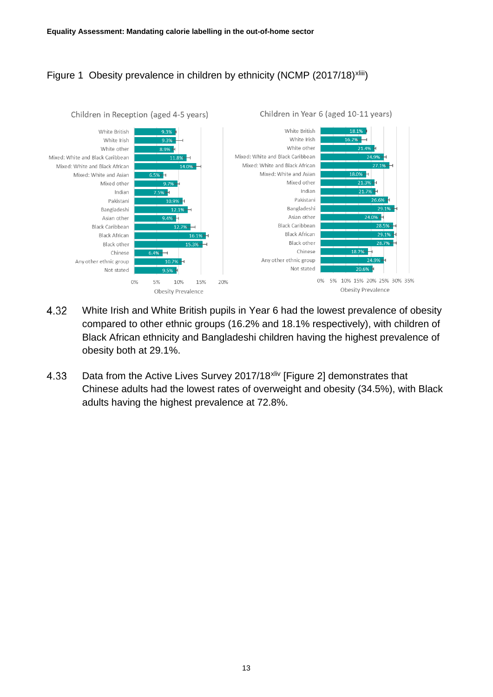### Figure 1 Obesity prevalence in children by ethnicity (NCMP (2017/18[\)](#page-19-13)<sup>xliii</sup>)



- 4.32 White Irish and White British pupils in Year 6 had the lowest prevalence of obesity compared to other ethnic groups (16.2% and 18.1% respectively), with children of Black African ethnicity and Bangladeshi children having the highest prevalence of obesity both at 29.1%.
- 4.33 Data from the Active Lives Survey 2017/18<sup>[xliv](#page-19-14)</sup> [Figure 2] demonstrates that Chinese adults had the lowest rates of overweight and obesity (34.5%), with Black adults having the highest prevalence at 72.8%.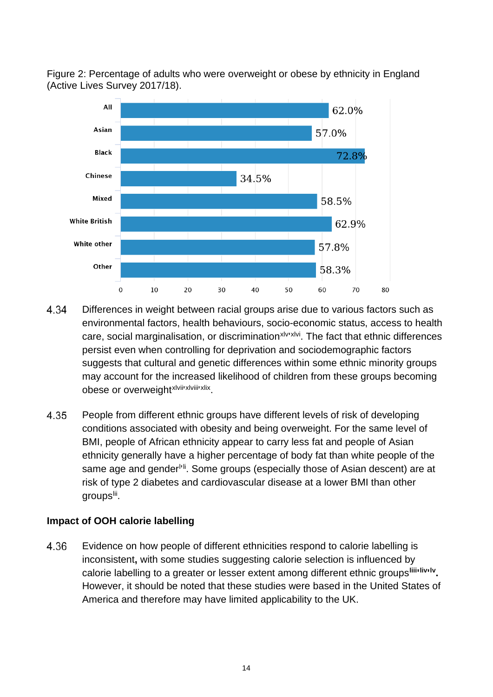Figure 2: Percentage of adults who were overweight or obese by ethnicity in England (Active Lives Survey 2017/18).



- Differences in weight between racial groups arise due to various factors such as 4.34 environmental factors, health behaviours, socio-economic status, access to health care, social marginalisation, or discrimination<sup>[xlv](#page-19-15)ixivi</sup>. The fact that ethnic differences persist even when controlling for deprivation and sociodemographic factors suggests that cultural and genetic differences within some ethnic minority groups may account for the increased likelihood of children from these groups becoming obese or overwe[i](#page-19-17)ght xlviil xlviil [xlix](#page-19-19).
- 4.35 People from different ethnic groups have different levels of risk of developing conditions associated with obesity and being overweight. For the same level of BMI, people of African ethnicity appear to carry less fat and people of Asian ethnicity generally have a higher percentage of body fat than white people of the same age and gender<sup>ni</sup>. Some groups (especially those of Asian descent) are at risk of type 2 diabetes and cardiovascular disease at a lower BMI than other groups<sup>lii</sup>.

#### **Impact of OOH calorie labelling**

4.36 Evidence on how people of different ethnicities respond to calorie labelling is inconsistent**,** with some studies suggesting calorie selection is influenced by calorie labelling to a greater or lesser extent among different ethnic groups<sup>[liii](#page-19-23)</sup><sup>[liv](#page-19-24)ily</sup>. However, it should be noted that these studies were based in the United States of America and therefore may have limited applicability to the UK.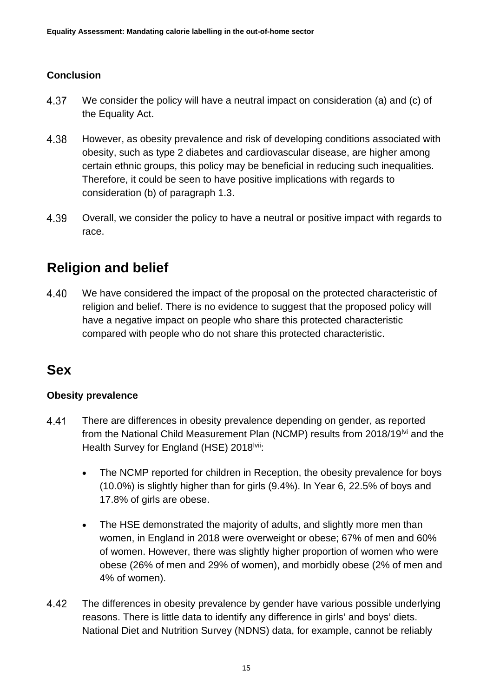#### **Conclusion**

- 4.37 We consider the policy will have a neutral impact on consideration (a) and (c) of the Equality Act.
- 4.38 However, as obesity prevalence and risk of developing conditions associated with obesity, such as type 2 diabetes and cardiovascular disease, are higher among certain ethnic groups, this policy may be beneficial in reducing such inequalities. Therefore, it could be seen to have positive implications with regards to consideration (b) of paragraph 1.3.
- 4.39 Overall, we consider the policy to have a neutral or positive impact with regards to race.

## <span id="page-14-0"></span>**Religion and belief**

4.40 We have considered the impact of the proposal on the protected characteristic of religion and belief. There is no evidence to suggest that the proposed policy will have a negative impact on people who share this protected characteristic compared with people who do not share this protected characteristic.

### <span id="page-14-1"></span>**Sex**

#### **Obesity prevalence**

- 4.41 There are differences in obesity prevalence depending on gender, as reported from the National Child Measurement Plan (NCMP) results from 2018/19<sup>[lvi](#page-19-26)</sup> and the Health Survey for England (HSE) 2018<sup>Ivii</sup>:
	- The NCMP reported for children in Reception, the obesity prevalence for boys (10.0%) is slightly higher than for girls (9.4%). In Year 6, 22.5% of boys and 17.8% of girls are obese.
	- The HSE demonstrated the majority of adults, and slightly more men than women, in England in 2018 were overweight or obese; 67% of men and 60% of women. However, there was slightly higher proportion of women who were obese (26% of men and 29% of women), and morbidly obese (2% of men and 4% of women).
- 4.42 The differences in obesity prevalence by gender have various possible underlying reasons. There is little data to identify any difference in girls' and boys' diets. National Diet and Nutrition Survey (NDNS) data, for example, cannot be reliably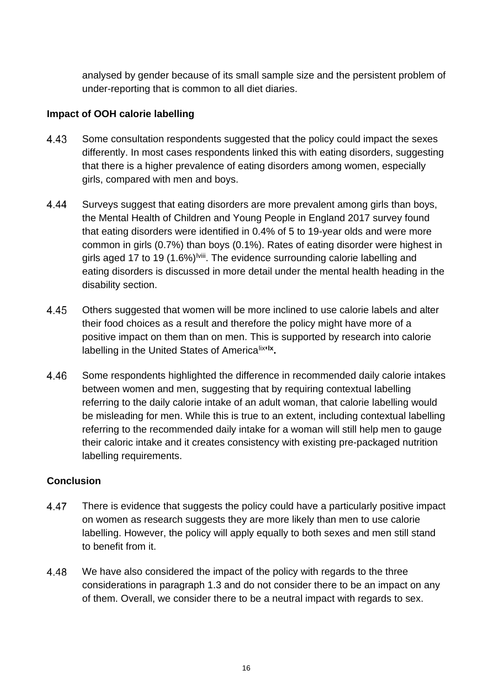analysed by gender because of its small sample size and the persistent problem of under-reporting that is common to all diet diaries.

#### **Impact of OOH calorie labelling**

- 4.43 Some consultation respondents suggested that the policy could impact the sexes differently. In most cases respondents linked this with eating disorders, suggesting that there is a higher prevalence of eating disorders among women, especially girls, compared with men and boys.
- 4.44 Surveys suggest that eating disorders are more prevalent among girls than boys, the Mental Health of Children and Young People in England 2017 survey found that eating disorders were identified in 0.4% of 5 to 19-year olds and were more common in girls (0.7%) than boys (0.1%). Rates of eating disorder were highest in girls aged 17 to 19 (1.6%)<sup>Iviii</sup>. The evidence surrounding calorie labelling and eating disorders is discussed in more detail under the mental healt[h](#page-19-28) heading in the disability section.
- 4.45 Others suggested that women will be more inclined to use calorie labels and alter their food choices as a result and therefore the policy might have more of a positive impact on them than on men. This is supported by research into calorie labelling in the United States of America<sup>[lix](#page-19-29) Ix</sup>.
- 4.46 Some respondents highlighted the difference in recommended daily calorie intakes between women and men, suggesting that by requiring contextual labelling referring to the daily calorie intake of an adult woman, that calorie labelling would be misleading for men. While this is true to an extent, including contextual labelling referring to the recommended daily intake for a woman will still help men to gauge their caloric intake and it creates consistency with existing pre-packaged nutrition labelling requirements.

#### **Conclusion**

- 4.47 There is evidence that suggests the policy could have a particularly positive impact on women as research suggests they are more likely than men to use calorie labelling. However, the policy will apply equally to both sexes and men still stand to benefit from it.
- 4.48 We have also considered the impact of the policy with regards to the three considerations in paragraph 1.3 and do not consider there to be an impact on any of them. Overall, we consider there to be a neutral impact with regards to sex.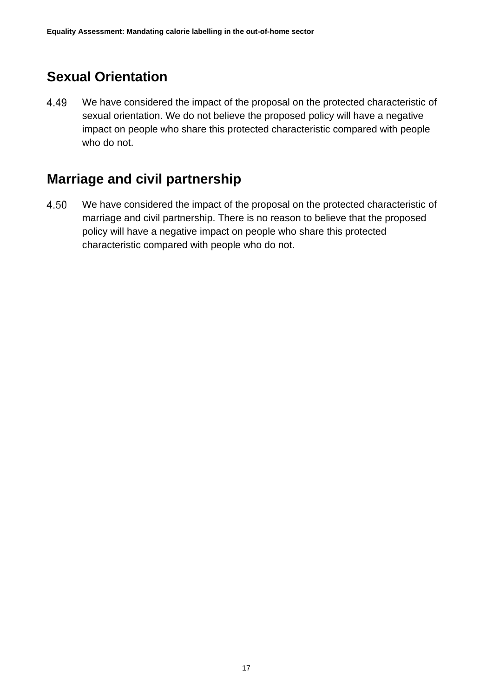## <span id="page-16-0"></span>**Sexual Orientation**

4.49 We have considered the impact of the proposal on the protected characteristic of sexual orientation. We do not believe the proposed policy will have a negative impact on people who share this protected characteristic compared with people who do not.

## <span id="page-16-1"></span>**Marriage and civil partnership**

4.50 We have considered the impact of the proposal on the protected characteristic of marriage and civil partnership. There is no reason to believe that the proposed policy will have a negative impact on people who share this protected characteristic compared with people who do not.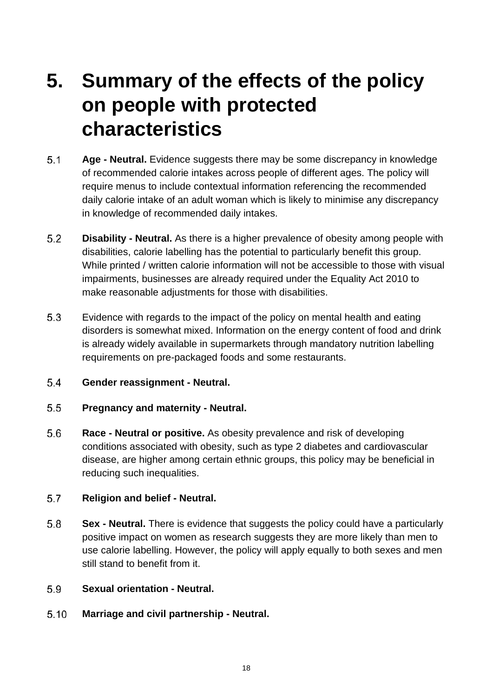## <span id="page-17-0"></span>**5. Summary of the effects of the policy on people with protected characteristics**

- $5.1$ **Age - Neutral.** Evidence suggests there may be some discrepancy in knowledge of recommended calorie intakes across people of different ages. The policy will require menus to include contextual information referencing the recommended daily calorie intake of an adult woman which is likely to minimise any discrepancy in knowledge of recommended daily intakes.
- $5.2$ **Disability - Neutral.** As there is a higher prevalence of obesity among people with disabilities, calorie labelling has the potential to particularly benefit this group. While printed / written calorie information will not be accessible to those with visual impairments, businesses are already required under the Equality Act 2010 to make reasonable adjustments for those with disabilities.
- 5.3 Evidence with regards to the impact of the policy on mental health and eating disorders is somewhat mixed. Information on the energy content of food and drink is already widely available in supermarkets through mandatory nutrition labelling requirements on pre-packaged foods and some restaurants.
- $5.4$ **Gender reassignment - Neutral.**
- $5.5$ **Pregnancy and maternity - Neutral.**
- 5.6 **Race - Neutral or positive.** As obesity prevalence and risk of developing conditions associated with obesity, such as type 2 diabetes and cardiovascular disease, are higher among certain ethnic groups, this policy may be beneficial in reducing such inequalities.

#### 5.7 **Religion and belief - Neutral.**

5.8 **Sex - Neutral.** There is evidence that suggests the policy could have a particularly positive impact on women as research suggests they are more likely than men to use calorie labelling. However, the policy will apply equally to both sexes and men still stand to benefit from it.

#### 5.9 **Sexual orientation - Neutral.**

 $5.10$ **Marriage and civil partnership - Neutral.**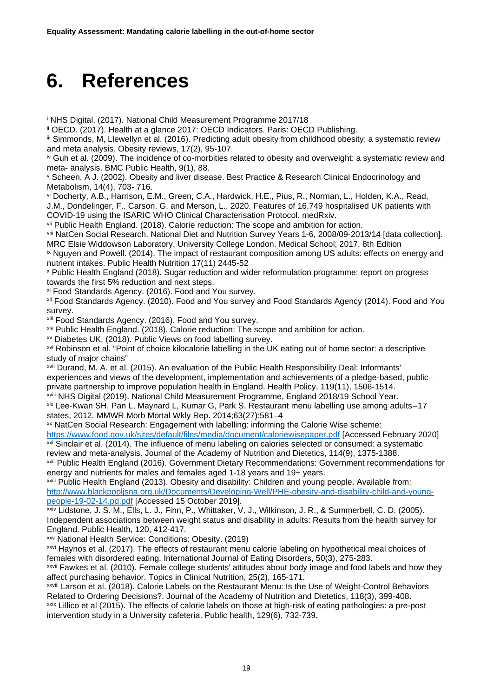## <span id="page-18-0"></span>**6. References**

<span id="page-18-1"></span><sup>i</sup> NHS Digital. (2017). National Child Measurement Programme 2017/18

<span id="page-18-2"></span>ii OECD. (2017). Health at a glance 2017: OECD Indicators. Paris: OECD Publishing.

<span id="page-18-3"></span>iii Simmonds, M, Llewellyn et al. (2016). Predicting adult obesity from childhood obesity: a systematic review and meta analysis. Obesity reviews, 17(2), 95-107.

<span id="page-18-4"></span><sup>iv</sup> Guh et al. (2009). The incidence of co-morbities related to obesity and overweight: a systematic review and meta- analysis. BMC Public Health, 9(1), 88.

<span id="page-18-5"></span><sup>v</sup> Scheen, A J. (2002). Obesity and liver disease. Best Practice & Research Clinical Endocrinology and Metabolism, 14(4), 703- 716.

<span id="page-18-6"></span>vi Docherty, A.B., Harrison, E.M., Green, C.A., Hardwick, H.E., Pius, R., Norman, L., Holden, K.A., Read, J.M., Dondelinger, F., Carson, G. and Merson, L., 2020. Features of 16,749 hospitalised UK patients with COVID-19 using the ISARIC WHO Clinical Characterisation Protocol. medRxiv.

<span id="page-18-7"></span>vii Public Health England. (2018). Calorie reduction: The scope and ambition for action.

<span id="page-18-8"></span>viii NatCen Social Research. National Diet and Nutrition Survey Years 1-6, 2008/09-2013/14 [data collection]. MRC Elsie Widdowson Laboratory, University College London. Medical School; 2017, 8th Edition

<span id="page-18-9"></span>ix Nguyen and Powell. (2014). The impact of restaurant composition among US adults: effects on energy and nutrient intakes. Public Health Nutrition 17(11) 2445-52

<span id="page-18-10"></span><sup>x</sup> Public Health England (2018). Sugar reduction and wider reformulation programme: report on progress towards the first 5% reduction and next steps.

<span id="page-18-11"></span>xi Food Standards Agency. (2016). Food and You survey.

<span id="page-18-12"></span>xii Food Standards Agency. (2010). Food and You survey and Food Standards Agency (2014). Food and You survey.

<span id="page-18-13"></span>xiii Food Standards Agency. (2016). Food and You survey.

<span id="page-18-14"></span>xiv Public Health England. (2018). Calorie reduction: The scope and ambition for action.

<span id="page-18-15"></span>xv Diabetes UK. (2018). Public Views on food labelling survey.

<span id="page-18-16"></span>xvi Robinson et al. "Point of choice kilocalorie labelling in the UK eating out of home sector: a descriptive study of major chains"

<span id="page-18-17"></span>xvii Durand, M. A. et al. (2015). An evaluation of the Public Health Responsibility Deal: Informants' experiences and views of the development, implementation and achievements of a pledge-based, public– private partnership to improve population health in England. Health Policy, 119(11), 1506-1514. xviii NHS Digital (2019). National Child Measurement Programme, England 2018/19 School Year.

<span id="page-18-19"></span><span id="page-18-18"></span>xix Lee-Kwan SH, Pan L, Maynard L, Kumar G, Park S. Restaurant menu labelling use among adults--17 states, 2012. MMWR Morb Mortal Wkly Rep. 2014;63(27):581–4

<span id="page-18-20"></span>xx NatCen Social Research: Engagement with labelling: informing the Calorie Wise scheme:

<span id="page-18-21"></span><https://www.food.gov.uk/sites/default/files/media/document/caloriewisepaper.pdf> [Accessed February 2020] xxi Sinclair et al. (2014). The influence of menu labeling on calories selected or consumed: a systematic review and meta-analysis. Journal of the Academy of Nutrition and Dietetics, 114(9), 1375-1388.

<span id="page-18-22"></span>xxii Public Health England (2016). Government Dietary Recommendations: Government recommendations for energy and nutrients for males and females aged 1-18 years and 19+ years.

<span id="page-18-23"></span>xxiii Public Health England (2013). Obesity and disability: Children and young people. Available from: [http://www.blackpooljsna.org.uk/Documents/Developing-Well/PHE-obesity-and-disability-child-and-young](http://www.blackpooljsna.org.uk/Documents/Developing-Well/PHE-obesity-and-disability-child-and-young-people-19-02-14.pd.pdf)[people-19-02-14.pd.pdf](http://www.blackpooljsna.org.uk/Documents/Developing-Well/PHE-obesity-and-disability-child-and-young-people-19-02-14.pd.pdf) [Accessed 15 October 2019].

<span id="page-18-24"></span>xxiv Lidstone, J. S. M., Ells, L. J., Finn, P., Whittaker, V. J., Wilkinson, J. R., & Summerbell, C. D. (2005). Independent associations between weight status and disability in adults: Results from the health survey for

England. Public Health, 120, 412-417.<br>xxv National Health Service: Conditions: Obesity. (2019)

<span id="page-18-26"></span><span id="page-18-25"></span>xxvi Haynos et al. (2017). The effects of restaurant menu calorie labeling on hypothetical meal choices of females with disordered eating. International Journal of Eating Disorders, 50(3), 275-283.

<span id="page-18-27"></span>xxvii Fawkes et al. (2010). Female college students' attitudes about body image and food labels and how they affect purchasing behavior. Topics in Clinical Nutrition, 25(2), 165-171.

<span id="page-18-29"></span><span id="page-18-28"></span>xxviii Larson et al. (2018). Calorie Labels on the Restaurant Menu: Is the Use of Weight-Control Behaviors Related to Ordering Decisions?. Journal of the Academy of Nutrition and Dietetics, 118(3), 399-408. xxix Lillico et al (2015). The effects of calorie labels on those at high-risk of eating pathologies: a pre-post intervention study in a University cafeteria. Public health, 129(6), 732-739.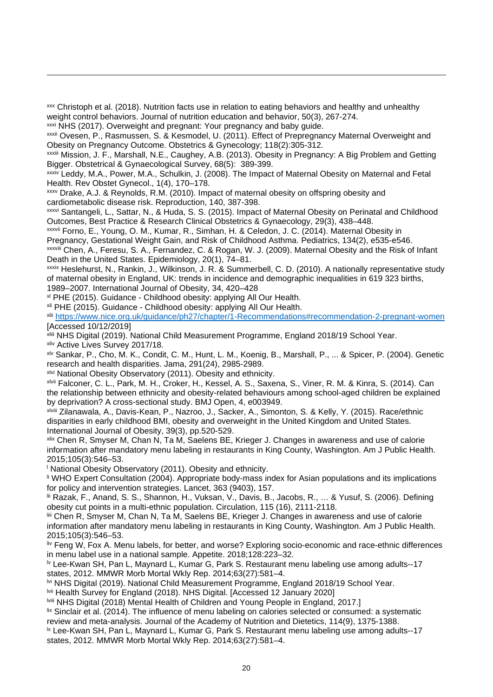<span id="page-19-0"></span>xxx Christoph et al. (2018). Nutrition facts use in relation to eating behaviors and healthy and unhealthy weight control behaviors. Journal of nutrition education and behavior, 50(3), 267-274.

<span id="page-19-1"></span>xxxi NHS (2017). Overweight and pregnant: Your pregnancy and baby guide.

<span id="page-19-2"></span>xxxii Ovesen, P., Rasmussen, S. & Kesmodel, U. (2011). Effect of Prepregnancy Maternal Overweight and Obesity on Pregnancy Outcome. Obstetrics & Gynecology; 118(2):305-312.

<span id="page-19-3"></span>xxxiii Mission, J. F., Marshall, N.E., Caughey, A.B. (2013). Obesity in Pregnancy: A Big Problem and Getting Bigger. Obstetrical & Gynaecological Survey, 68(5): 389-399.

<span id="page-19-4"></span>xxxiv Leddy, M.A., Power, M.A., Schulkin, J. (2008). The Impact of Maternal Obesity on Maternal and Fetal Health. Rev Obstet Gynecol., 1(4), 170–178.<br>xxxy Drake, A.J. & Reynolds, R.M. (2010). Impact of maternal obesity on offspring obesity and

<span id="page-19-5"></span>cardiometabolic disease risk. Reproduction, 140, 387-398.

<span id="page-19-6"></span>xxxvi Santangeli, L., Sattar, N., & Huda, S. S. (2015). Impact of Maternal Obesity on Perinatal and Childhood Outcomes, Best Practice & Research Clinical Obstetrics & Gynaecology, 29(3), 438–448.

<span id="page-19-7"></span>xxxvii Forno, E., Young, O. M., Kumar, R., Simhan, H. & Celedon, J. C. (2014). Maternal Obesity in

Pregnancy, Gestational Weight Gain, and Risk of Childhood Asthma. Pediatrics, 134(2), e535-e546. xxxviii Chen, A., Feresu, S. A., Fernandez, C. & Rogan, W. J. (2009). Maternal Obesity and the Risk of Infant

<span id="page-19-8"></span>Death in the United States. Epidemiology, 20(1), 74–81.

<span id="page-19-9"></span>xxxix Heslehurst, N., Rankin, J., Wilkinson, J. R. & Summerbell, C. D. (2010). A nationally representative study of maternal obesity in England, UK: trends in incidence and demographic inequalities in 619 323 births, 1989–2007. International Journal of Obesity, 34, 420–428

<span id="page-19-10"></span>xl PHE (2015). Guidance - Childhood obesity: applying All Our Health.

<span id="page-19-11"></span>xli PHE (2015). Guidance - Childhood obesity: applying All Our Health.

<span id="page-19-12"></span>xlii <https://www.nice.org.uk/guidance/ph27/chapter/1-Recommendations#recommendation-2-pregnant-women> [Accessed 10/12/2019]

<span id="page-19-13"></span>xliii NHS Digital (2019). National Child Measurement Programme, England 2018/19 School Year. xliv Active Lives Survey 2017/18.

<span id="page-19-15"></span><span id="page-19-14"></span>xlv Sankar, P., Cho, M. K., Condit, C. M., Hunt, L. M., Koenig, B., Marshall, P., ... & Spicer, P. (2004). Genetic research and health disparities. Jama, 291(24), 2985-2989.

<span id="page-19-16"></span>xlvi National Obesity Observatory (2011). Obesity and ethnicity.

<span id="page-19-17"></span>xlvii Falconer, C. L., Park, M. H., Croker, H., Kessel, A. S., Saxena, S., Viner, R. M. & Kinra, S. (2014). Can the relationship between ethnicity and obesity-related behaviours among school-aged children be explained by deprivation? A cross-sectional study. BMJ Open, 4, e003949.

<span id="page-19-18"></span>xlviii Zilanawala, A., Davis-Kean, P., Nazroo, J., Sacker, A., Simonton, S. & Kelly, Y. (2015). Race/ethnic disparities in early childhood BMI, obesity and overweight in the United Kingdom and United States. International Journal of Obesity, 39(3), pp.520-529.

<span id="page-19-19"></span>xlix Chen R, Smyser M, Chan N, Ta M, Saelens BE, Krieger J. Changes in awareness and use of calorie information after mandatory menu labeling in restaurants in King County, Washington. Am J Public Health. 2015;105(3):546–53.

<span id="page-19-20"></span><sup>l</sup> National Obesity Observatory (2011). Obesity and ethnicity.

<span id="page-19-21"></span>li WHO Expert Consultation (2004). Appropriate body-mass index for Asian populations and its implications for policy and intervention strategies. Lancet, 363 (9403), 157.

<span id="page-19-22"></span>lii Razak, F., Anand, S. S., Shannon, H., Vuksan, V., Davis, B., Jacobs, R., … & Yusuf, S. (2006). Defining obesity cut points in a multi-ethnic population. Circulation, 115 (16), 2111-2118.

<span id="page-19-23"></span>liii Chen R, Smyser M, Chan N, Ta M, Saelens BE, Krieger J. Changes in awareness and use of calorie information after mandatory menu labeling in restaurants in King County, Washington. Am J Public Health. 2015;105(3):546–53.

<span id="page-19-24"></span>liv Feng W, Fox A. Menu labels, for better, and worse? Exploring socio-economic and race-ethnic differences in menu label use in a national sample. Appetite. 2018;128:223–32.

<span id="page-19-25"></span>lv Lee-Kwan SH, Pan L, Maynard L, Kumar G, Park S. Restaurant menu labeling use among adults--17 states, 2012. MMWR Morb Mortal Wkly Rep. 2014;63(27):581–4.

<span id="page-19-26"></span>lvi NHS Digital (2019). National Child Measurement Programme, England 2018/19 School Year.

<span id="page-19-27"></span>lvii Health Survey for England (2018). NHS Digital. [Accessed 12 January 2020]

<span id="page-19-28"></span>lviii NHS Digital (2018) Mental Health of Children and Young People in England, 2017.]

<span id="page-19-29"></span>lix Sinclair et al. (2014). The influence of menu labeling on calories selected or consumed: a systematic review and meta-analysis. Journal of the Academy of Nutrition and Dietetics, 114(9), 1375-1388.

<span id="page-19-30"></span><sup>1x</sup> Lee-Kwan SH, Pan L, Maynard L, Kumar G, Park S. Restaurant menu labeling use among adults--17 states, 2012. MMWR Morb Mortal Wkly Rep. 2014;63(27):581–4.